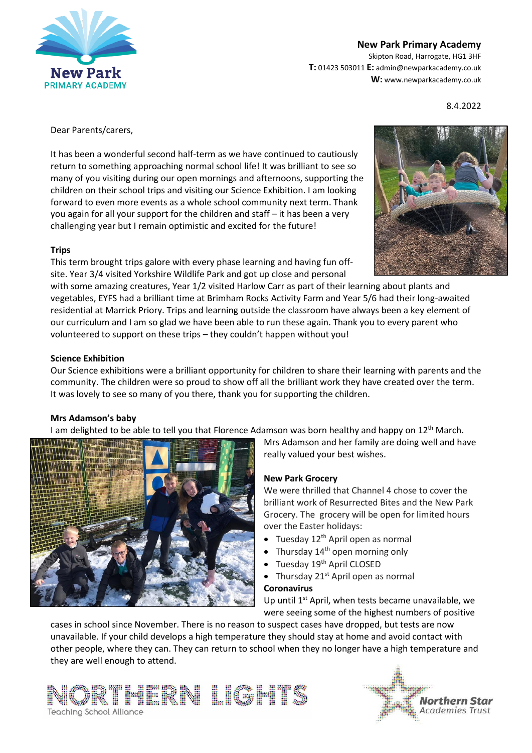

## **New Park Primary Academy**

Skipton Road, Harrogate, HG1 3HF **T:** 01423 503011 **E:** admin@newparkacademy.co.uk **W:** www.newparkacademy.co.uk

8.4.2022

Dear Parents/carers,

It has been a wonderful second half-term as we have continued to cautiously return to something approaching normal school life! It was brilliant to see so many of you visiting during our open mornings and afternoons, supporting the children on their school trips and visiting our Science Exhibition. I am looking forward to even more events as a whole school community next term. Thank you again for all your support for the children and staff – it has been a very challenging year but I remain optimistic and excited for the future!

#### **Trips**

This term brought trips galore with every phase learning and having fun offsite. Year 3/4 visited Yorkshire Wildlife Park and got up close and personal



with some amazing creatures, Year 1/2 visited Harlow Carr as part of their learning about plants and vegetables, EYFS had a brilliant time at Brimham Rocks Activity Farm and Year 5/6 had their long-awaited residential at Marrick Priory. Trips and learning outside the classroom have always been a key element of our curriculum and I am so glad we have been able to run these again. Thank you to every parent who volunteered to support on these trips – they couldn't happen without you!

#### **Science Exhibition**

Our Science exhibitions were a brilliant opportunity for children to share their learning with parents and the community. The children were so proud to show off all the brilliant work they have created over the term. It was lovely to see so many of you there, thank you for supporting the children.

#### **Mrs Adamson's baby**

I am delighted to be able to tell you that Florence Adamson was born healthy and happy on 12<sup>th</sup> March.



Mrs Adamson and her family are doing well and have really valued your best wishes.

#### **New Park Grocery**

We were thrilled that Channel 4 chose to cover the brilliant work of Resurrected Bites and the New Park Grocery. The grocery will be open for limited hours over the Easter holidays:

- $\bullet$  Tuesday 12<sup>th</sup> April open as normal
- Thursday 14<sup>th</sup> open morning only
- Tuesday 19<sup>th</sup> April CLOSED
- Thursday  $21^{st}$  April open as normal

# **Coronavirus**

Up until  $1<sup>st</sup>$  April, when tests became unavailable, we were seeing some of the highest numbers of positive

cases in school since November. There is no reason to suspect cases have dropped, but tests are now unavailable. If your child develops a high temperature they should stay at home and avoid contact with other people, where they can. They can return to school when they no longer have a high temperature and they are well enough to attend.